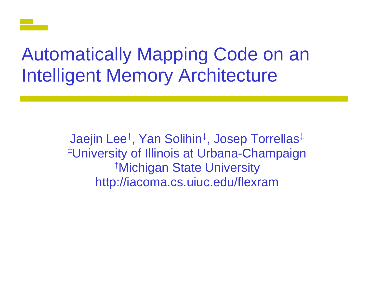# **Automatically Mapping Code on an Intelligent Memory Architecture**

Jaejin Lee<sup>†</sup>, Yan Solihin<sup>‡</sup>, Josep Torrellas<sup>‡</sup> #University of Illinois at Urbana-Champaign <sup>†</sup>Michigan State University http://iacoma.cs.uiuc.edu/flexram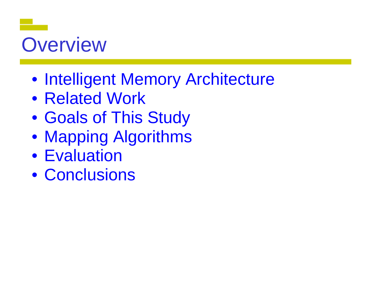# **Overview**

- Intelligent Memory Architecture
- Related Work
- Goals of This Study
- Goals of This Study<br>• Mapping Algorithms
- Evaluation
- Conclusions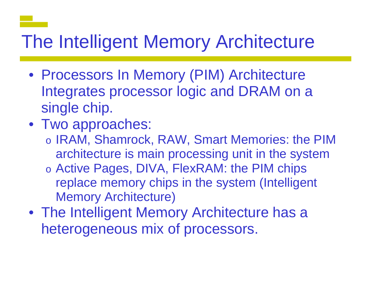# The Intelligent Memory Architecture

- Processors In Memory (PIM) Architecture Integrates processor logic and DRAM on a single chip.
- Two approaches:
	- o IRAM, Shamrock, RAW, Smart Memories: the PIM architecture is main processing unit in the system
	- o Active Pages, DIVA, FlexRAM: the PIM chips replace memory chips in the system (Intelligent **Memory Architecture)**
- The Intelligent Memory Architecture has a heterogeneous mix of processors.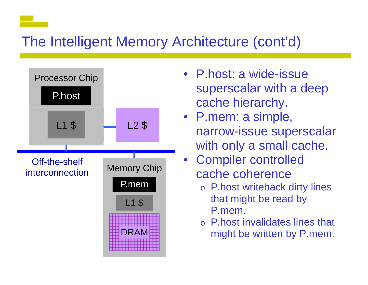#### The Intelligent Memory Architecture (cont'd)



- P.host: a wide-issue superscalar with a deep cache hierarch y.
- P.mem: a simple, narrow-issue superscalar with only a small cache.
- Compiler controlled cache coherence
	- o P.host writeback dirty lines that might be read by P.mem.
	- o P.host invalidates lines that might be written by P.mem.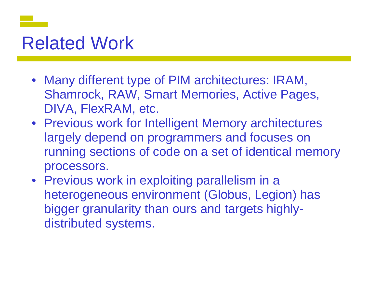### **Related Work**

- Many different type of PIM architectures: IRAM, Shamrock, RAW, Smart M Memories, Active Pages, DIVA, FlexRAM, etc.
- Previous work for Intelligent Memory architectures largely depend on programmers and focuses on running sections of code on a set of identical memory processors.
- Previous work in exploiting parallelism in a heterogeneous environment (Globus, Legion) has bigger granularity than ours and targets highlydistributed systems.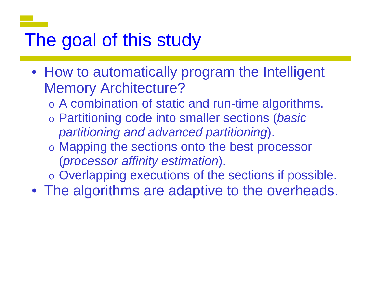# The goal of this study

- How to automatically program the Intelligent Memory Architecture ?
	- $\circ$  A combination of static and run-time algorithms.
	- o Partitioning code into s smaller sections (*basic partitioning and advan c ced partitionin g*).
	- $\circ$  Mapping the sections onto the best processor (*processor affinity estimation*).
	- $\circ$  Overlapping executions of the sections if possible.
- The algorithms are ad aptive to the overheads.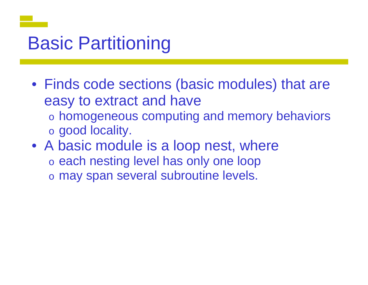# **Basic Partitioning**

- Finds code sections (basic modules) that are easy to extract and have  $\circ$  homogeneous computing and memory behaviors
	- o good locality.
- A basic module is a loop nest, where o each nesting level has only one loop  $\circ$  may span several subroutine levels.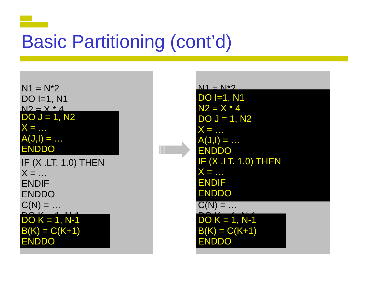# **Basic Partitioning (cont'd)**

<u> Tan</u>

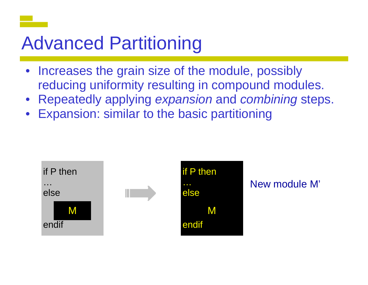# Advanced Partitioning

- Increases the grain size of the module, possibly reducing uniformity resulti n ng in compound modules.
- **Repeatedly applying expansion and combining steps.**
- •Expansion: similar to the b basic partitioning

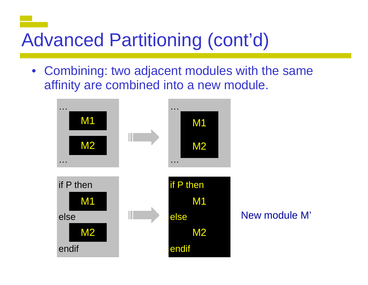# **Advanced Partitioning (cont'd)**

• Combining: two adjacent modules with the same affinity are combined into a new module.

New module M'

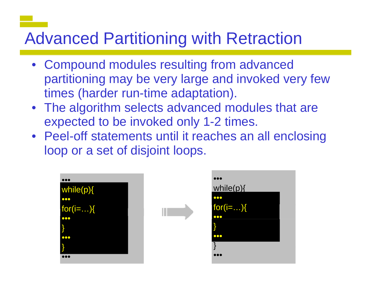#### Advanced Partitioning with Retraction

- Compound modules resulting from advanced partitioning may be very l arge and invoked very few times (harder run-time adaptation).
- The algorithm selects advanced modules that are expected to be invoked o nly 1-2 times.
- Peel-off statements until it reaches an all enclosing loop or a set of disjoint loops.

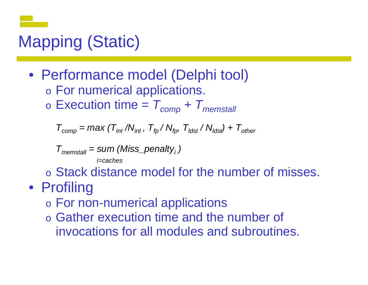## Mapping (Static)

• Performance model (Delphi tool)  $\circ$  For numerical applications. o $\circ$  Execution time =  $T_{comp} + T_{memstall}$ 

 $T_{\mathit{comp}} = \mathit{max}\ (\mathcal{T}_{\mathit{int}}\ /\mathcal{N}_{\mathit{int}}\ ,\ \mathcal{T}_{\mathit{fp}}\ /\ \mathcal{N}_{\mathit{fp}},\ \mathcal{T}_{\mathit{ldst}}\ /\ \mathcal{N}_{\mathit{ldst}}\ ) + \mathcal{T}_{\mathit{other}}$ 

*Tmemstall = sum (Miss\_penaltyi ) i=caches*

o Stack distance model for the number of misses.

- Profiling
	- o For non-numerical appl ications
	- o Gather execution time and the number of invocations for all modules and subroutines.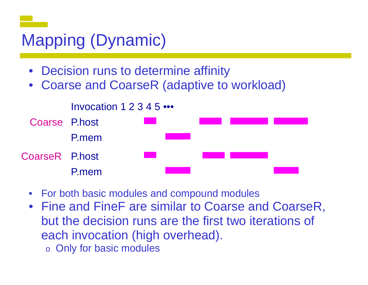### Mapping (Dynamic)

- •• Decision runs to determine affinity
- •Coarse and CoarseR (adaptive to workload)



- $\bullet$ For both basic modules and compound modules
- Fine and FineF are similar to Coarse and CoarseR, but the decision runs are the first two iterations of each invocation (high ove rhead).
	- $\circ$  Only for basic modules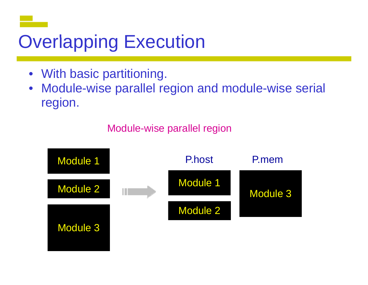# **Overlapping Execution**

- With basic partitioning.
- $\bullet$ Module-wise parallel region and module-wise serial re gion.

Module-wise parallel region

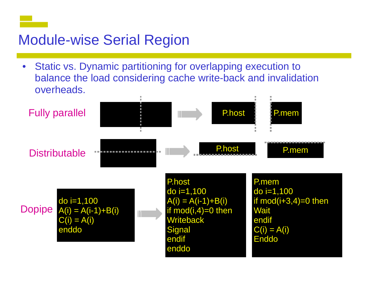#### Module-wise Serial Region

 $\bullet$ odule-wise Serial Region<br>Static vs. Dynamic partitioning for overlapping execution to balance the load considering cache write-back and invalidation overheads.

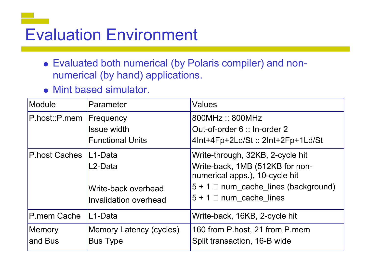# Evaluation Environment

- Evaluated both numerical (by Polaris compiler) and nonnumerical (by hand) applications.
- Mint based simulator.

| Module                   | Parameter                                                  | Values                                                                                                                                                                   |
|--------------------------|------------------------------------------------------------|--------------------------------------------------------------------------------------------------------------------------------------------------------------------------|
| $P.$ host:: $P.$ mem     | Frequency<br><b>Issue width</b><br><b>Functional Units</b> | 800MHz:: 800MHz<br>Out-of-order 6 :: In-order 2<br>4Int+4Fp+2Ld/St:: 2Int+2Fp+1Ld/St                                                                                     |
| P.host Caches   L1-Data  | L2-Data<br>Write-back overhead<br>Invalidation overhead    | Write-through, 32KB, 2-cycle hit<br>Write-back, 1MB (512KB for non-<br>numerical apps.), 10-cycle hit<br>$5 + 1$ mum_cache_lines (background)<br>$5 + 1$ num cache lines |
| P.mem Cache              | L1-Data                                                    | Write-back, 16KB, 2-cycle hit                                                                                                                                            |
| <b>Memory</b><br>and Bus | <b>Memory Latency (cycles)</b><br><b>Bus Type</b>          | 160 from P.host, 21 from P.mem<br>Split transaction, 16-B wide                                                                                                           |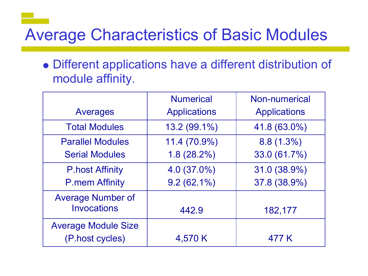#### Average Characteristics of Basic Modules

Different applications have a different distribution of module affinity.

|                            | <b>Numerical</b>    | <b>Non-numerical</b> |  |
|----------------------------|---------------------|----------------------|--|
| Averages                   | <b>Applications</b> | <b>Applications</b>  |  |
| <b>Total Modules</b>       | 13.2 (99.1%)        | 41.8 (63.0%)         |  |
| <b>Parallel Modules</b>    | 11.4 (70.9%)        | $8.8(1.3\%)$         |  |
| <b>Serial Modules</b>      | $1.8(28.2\%)$       | 33.0 (61.7%)         |  |
| <b>P.host Affinity</b>     | $4.0(37.0\%)$       | 31.0 (38.9%)         |  |
| <b>P.mem Affinity</b>      | $9.2(62.1\%)$       | 37.8 (38.9%)         |  |
| <b>Average Number of</b>   |                     |                      |  |
| <b>Invocations</b>         | 442.9               | 182,177              |  |
| <b>Average Module Size</b> |                     |                      |  |
| (P.host cycles)            | 4,570 K             | 477 K                |  |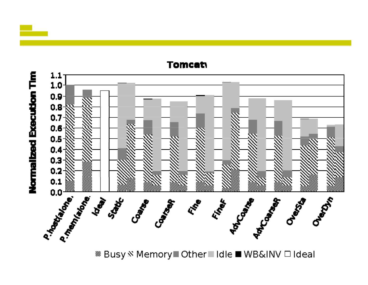

<sup>38</sup> Busy <sup>&</sup> Memory■ Other■Idle ■ WB&INV □ Ideal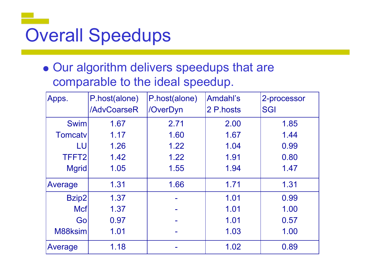# Overall Speedups

Our algorithm delivers speedups that are comparable to the ideal speedup.

| Apps.             | P.host(alone)<br>/AdvCoarseR | P.host(alone)<br>/OverDyn | Amdahl's<br>2 P.hosts | 2-processor<br><b>SGI</b> |
|-------------------|------------------------------|---------------------------|-----------------------|---------------------------|
|                   |                              |                           |                       |                           |
| <b>Swim</b>       | 1.67                         | 2.71                      | 2.00                  | 1.85                      |
| <b>Tomcatv</b>    | 1.17                         | 1.60                      | 1.67                  | 1.44                      |
| LU                | 1.26                         | 1.22                      | 1.04                  | 0.99                      |
| TFFT <sub>2</sub> | 1.42                         | 1.22                      | 1.91                  | 0.80                      |
| <b>Mgrid</b>      | 1.05                         | 1.55                      | 1.94                  | 1.47                      |
| Average           | 1.31                         | 1.66                      | 1.71                  | 1.31                      |
| Bzip2             | 1.37                         |                           | 1.01                  | 0.99                      |
| <b>Mcf</b>        | 1.37                         |                           | 1.01                  | 1.00                      |
| Go                | 0.97                         |                           | 1.01                  | 0.57                      |
| M88ksim           | 1.01                         |                           | 1.03                  | 1.00                      |
| Average           | 1.18                         |                           | 1.02                  | 0.89                      |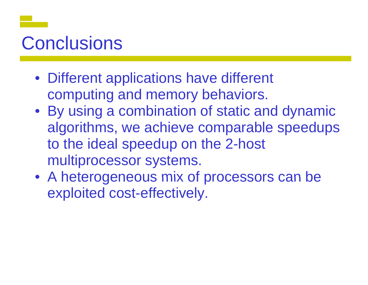## Conclusions

- Different applications have different computing and memory behaviors.
- By using a combination of static and dynamic algorithms, we achieve comparable speedups to the ideal speedup on the 2-host multiprocessor systems.
- A heterogeneous mix of processors can be exploited cost-effectively.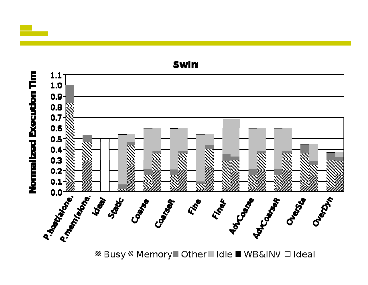

<sup>28</sup> Busy <sup>N</sup> Memory Dther Didle ■ WB&INV Dideal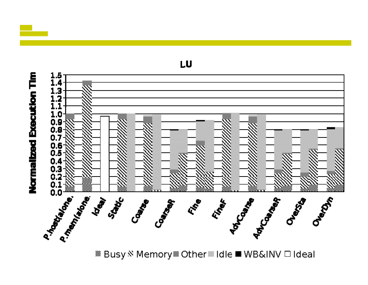

*®* **Busy <sup>®</sup> Memory** Other II Idle ■ WB&INV □ Ideal

LU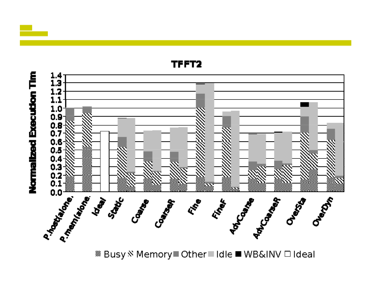

*®* **Busy <sup>®</sup> Memory** Other II Idle ■ WB&INV □ Ideal

TFFT2